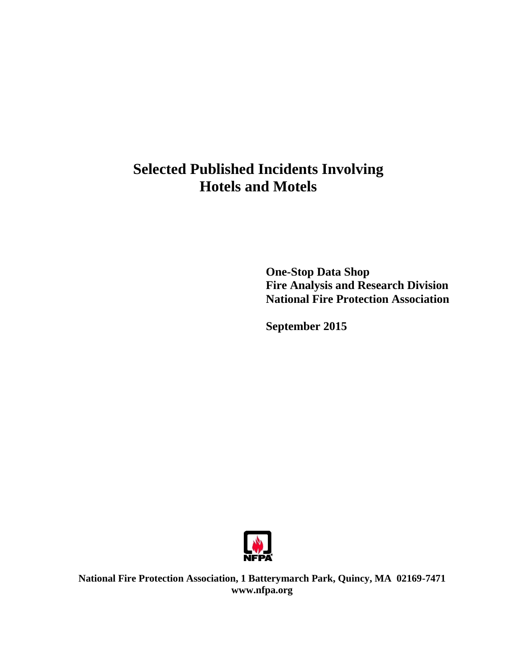# **Selected Published Incidents Involving Hotels and Motels**

**One-Stop Data Shop Fire Analysis and Research Division National Fire Protection Association**

**September 2015**



**National Fire Protection Association, 1 Batterymarch Park, Quincy, MA 02169-7471 www.nfpa.org**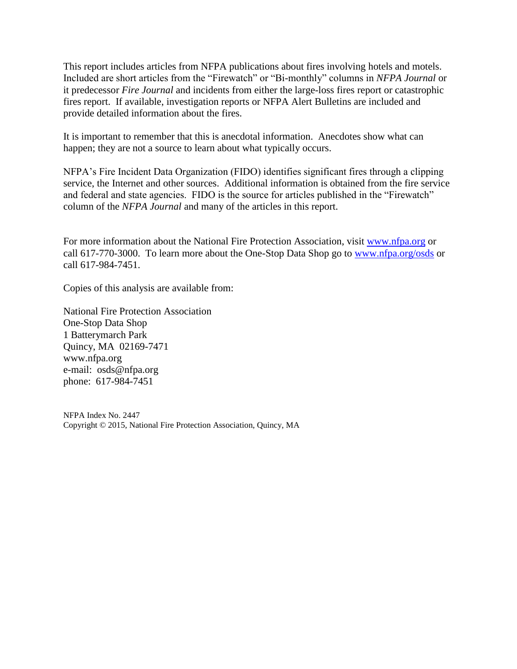This report includes articles from NFPA publications about fires involving hotels and motels. Included are short articles from the "Firewatch" or "Bi-monthly" columns in *NFPA Journal* or it predecessor *Fire Journal* and incidents from either the large-loss fires report or catastrophic fires report. If available, investigation reports or NFPA Alert Bulletins are included and provide detailed information about the fires.

It is important to remember that this is anecdotal information. Anecdotes show what can happen; they are not a source to learn about what typically occurs.

NFPA's Fire Incident Data Organization (FIDO) identifies significant fires through a clipping service, the Internet and other sources. Additional information is obtained from the fire service and federal and state agencies. FIDO is the source for articles published in the "Firewatch" column of the *NFPA Journal* and many of the articles in this report.

For more information about the National Fire Protection Association, visit [www.nfpa.org](http://www.nfpa.org/) or call 617-770-3000. To learn more about the One-Stop Data Shop go to [www.nfpa.org/osds](http://www.nfpa.org/osds) or call 617-984-7451.

Copies of this analysis are available from:

National Fire Protection Association One-Stop Data Shop 1 Batterymarch Park Quincy, MA 02169-7471 www.nfpa.org e-mail: osds@nfpa.org phone: 617-984-7451

NFPA Index No. 2447 Copyright © 2015, National Fire Protection Association, Quincy, MA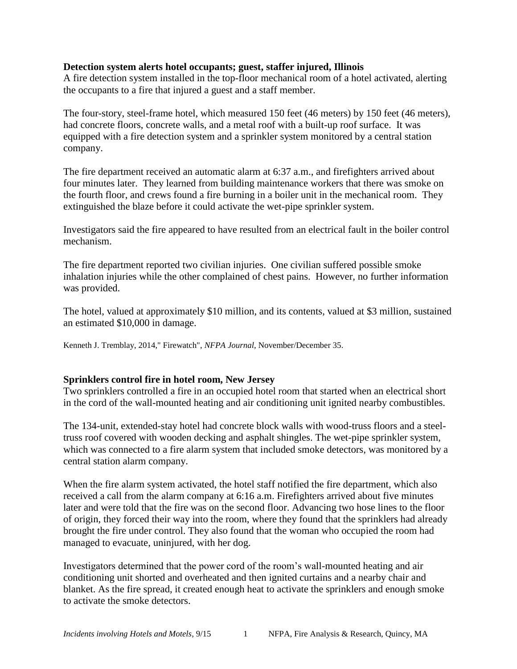## **Detection system alerts hotel occupants; guest, staffer injured, Illinois**

A fire detection system installed in the top-floor mechanical room of a hotel activated, alerting the occupants to a fire that injured a guest and a staff member.

The four-story, steel-frame hotel, which measured 150 feet (46 meters) by 150 feet (46 meters), had concrete floors, concrete walls, and a metal roof with a built-up roof surface. It was equipped with a fire detection system and a sprinkler system monitored by a central station company.

The fire department received an automatic alarm at 6:37 a.m., and firefighters arrived about four minutes later. They learned from building maintenance workers that there was smoke on the fourth floor, and crews found a fire burning in a boiler unit in the mechanical room. They extinguished the blaze before it could activate the wet-pipe sprinkler system.

Investigators said the fire appeared to have resulted from an electrical fault in the boiler control mechanism.

The fire department reported two civilian injuries. One civilian suffered possible smoke inhalation injuries while the other complained of chest pains. However, no further information was provided.

The hotel, valued at approximately \$10 million, and its contents, valued at \$3 million, sustained an estimated \$10,000 in damage.

Kenneth J. Tremblay, 2014," Firewatch", *NFPA Journal*, November/December 35.

## **Sprinklers control fire in hotel room, New Jersey**

Two sprinklers controlled a fire in an occupied hotel room that started when an electrical short in the cord of the wall-mounted heating and air conditioning unit ignited nearby combustibles.

The 134-unit, extended-stay hotel had concrete block walls with wood-truss floors and a steeltruss roof covered with wooden decking and asphalt shingles. The wet-pipe sprinkler system, which was connected to a fire alarm system that included smoke detectors, was monitored by a central station alarm company.

When the fire alarm system activated, the hotel staff notified the fire department, which also received a call from the alarm company at 6:16 a.m. Firefighters arrived about five minutes later and were told that the fire was on the second floor. Advancing two hose lines to the floor of origin, they forced their way into the room, where they found that the sprinklers had already brought the fire under control. They also found that the woman who occupied the room had managed to evacuate, uninjured, with her dog.

Investigators determined that the power cord of the room's wall-mounted heating and air conditioning unit shorted and overheated and then ignited curtains and a nearby chair and blanket. As the fire spread, it created enough heat to activate the sprinklers and enough smoke to activate the smoke detectors.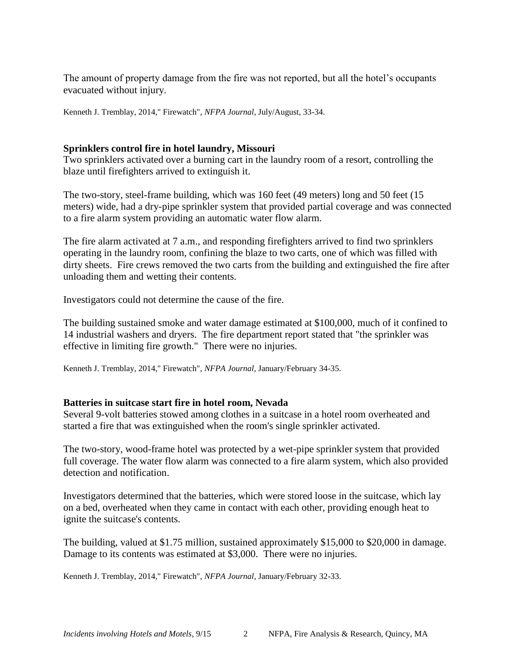The amount of property damage from the fire was not reported, but all the hotel's occupants evacuated without injury.

Kenneth J. Tremblay, 2014," Firewatch", *NFPA Journal*, July/August, 33-34.

#### **Sprinklers control fire in hotel laundry, Missouri**

Two sprinklers activated over a burning cart in the laundry room of a resort, controlling the blaze until firefighters arrived to extinguish it.

The two-story, steel-frame building, which was 160 feet (49 meters) long and 50 feet (15 meters) wide, had a dry-pipe sprinkler system that provided partial coverage and was connected to a fire alarm system providing an automatic water flow alarm.

The fire alarm activated at 7 a.m., and responding firefighters arrived to find two sprinklers operating in the laundry room, confining the blaze to two carts, one of which was filled with dirty sheets. Fire crews removed the two carts from the building and extinguished the fire after unloading them and wetting their contents.

Investigators could not determine the cause of the fire.

The building sustained smoke and water damage estimated at \$100,000, much of it confined to 14 industrial washers and dryers. The fire department report stated that "the sprinkler was effective in limiting fire growth." There were no injuries.

Kenneth J. Tremblay, 2014," Firewatch", *NFPA Journal*, January/February 34-35.

#### **Batteries in suitcase start fire in hotel room, Nevada**

Several 9-volt batteries stowed among clothes in a suitcase in a hotel room overheated and started a fire that was extinguished when the room's single sprinkler activated.

The two-story, wood-frame hotel was protected by a wet-pipe sprinkler system that provided full coverage. The water flow alarm was connected to a fire alarm system, which also provided detection and notification.

Investigators determined that the batteries, which were stored loose in the suitcase, which lay on a bed, overheated when they came in contact with each other, providing enough heat to ignite the suitcase's contents.

The building, valued at \$1.75 million, sustained approximately \$15,000 to \$20,000 in damage. Damage to its contents was estimated at \$3,000. There were no injuries.

Kenneth J. Tremblay, 2014," Firewatch", *NFPA Journal*, January/February 32-33.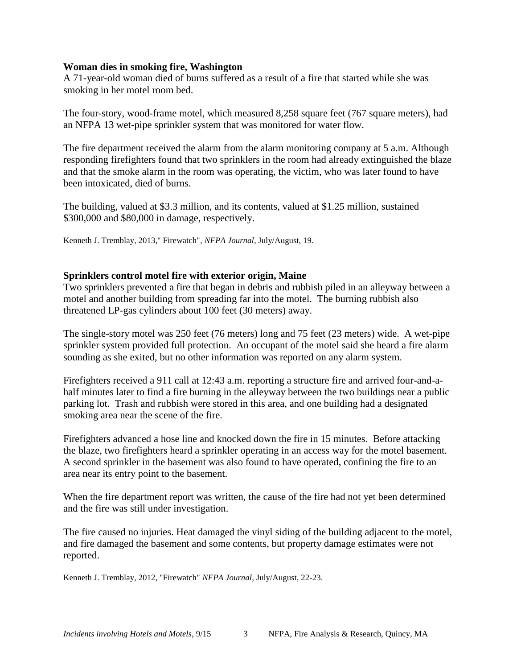#### **Woman dies in smoking fire, Washington**

A 71-year-old woman died of burns suffered as a result of a fire that started while she was smoking in her motel room bed.

The four-story, wood-frame motel, which measured 8,258 square feet (767 square meters), had an NFPA 13 wet-pipe sprinkler system that was monitored for water flow.

The fire department received the alarm from the alarm monitoring company at 5 a.m. Although responding firefighters found that two sprinklers in the room had already extinguished the blaze and that the smoke alarm in the room was operating, the victim, who was later found to have been intoxicated, died of burns.

The building, valued at \$3.3 million, and its contents, valued at \$1.25 million, sustained \$300,000 and \$80,000 in damage, respectively.

Kenneth J. Tremblay, 2013," Firewatch", *NFPA Journal*, July/August, 19.

#### **Sprinklers control motel fire with exterior origin, Maine**

Two sprinklers prevented a fire that began in debris and rubbish piled in an alleyway between a motel and another building from spreading far into the motel. The burning rubbish also threatened LP-gas cylinders about 100 feet (30 meters) away.

The single-story motel was 250 feet (76 meters) long and 75 feet (23 meters) wide. A wet-pipe sprinkler system provided full protection. An occupant of the motel said she heard a fire alarm sounding as she exited, but no other information was reported on any alarm system.

Firefighters received a 911 call at 12:43 a.m. reporting a structure fire and arrived four-and-ahalf minutes later to find a fire burning in the alleyway between the two buildings near a public parking lot. Trash and rubbish were stored in this area, and one building had a designated smoking area near the scene of the fire.

Firefighters advanced a hose line and knocked down the fire in 15 minutes. Before attacking the blaze, two firefighters heard a sprinkler operating in an access way for the motel basement. A second sprinkler in the basement was also found to have operated, confining the fire to an area near its entry point to the basement.

When the fire department report was written, the cause of the fire had not yet been determined and the fire was still under investigation.

The fire caused no injuries. Heat damaged the vinyl siding of the building adjacent to the motel, and fire damaged the basement and some contents, but property damage estimates were not reported.

Kenneth J. Tremblay, 2012, "Firewatch" *NFPA Journal*, July/August, 22-23.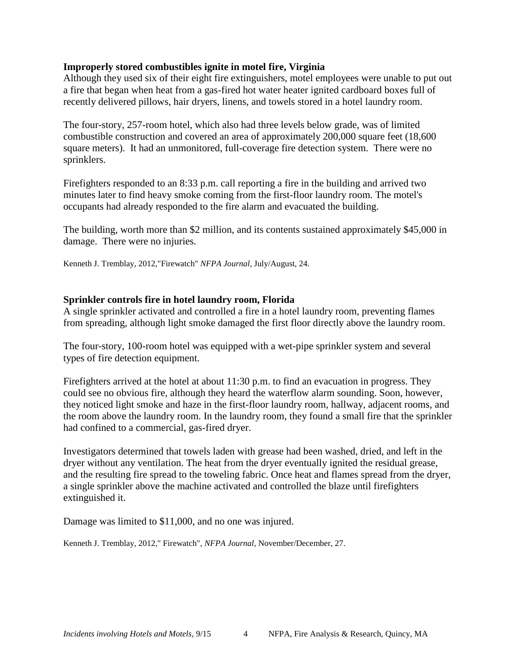## **Improperly stored combustibles ignite in motel fire, Virginia**

Although they used six of their eight fire extinguishers, motel employees were unable to put out a fire that began when heat from a gas-fired hot water heater ignited cardboard boxes full of recently delivered pillows, hair dryers, linens, and towels stored in a hotel laundry room.

The four-story, 257-room hotel, which also had three levels below grade, was of limited combustible construction and covered an area of approximately 200,000 square feet (18,600 square meters). It had an unmonitored, full-coverage fire detection system. There were no sprinklers.

Firefighters responded to an 8:33 p.m. call reporting a fire in the building and arrived two minutes later to find heavy smoke coming from the first-floor laundry room. The motel's occupants had already responded to the fire alarm and evacuated the building.

The building, worth more than \$2 million, and its contents sustained approximately \$45,000 in damage. There were no injuries.

Kenneth J. Tremblay, 2012,"Firewatch" *NFPA Journal*, July/August, 24.

## **Sprinkler controls fire in hotel laundry room, Florida**

A single sprinkler activated and controlled a fire in a hotel laundry room, preventing flames from spreading, although light smoke damaged the first floor directly above the laundry room.

The four-story, 100-room hotel was equipped with a wet-pipe sprinkler system and several types of fire detection equipment.

Firefighters arrived at the hotel at about 11:30 p.m. to find an evacuation in progress. They could see no obvious fire, although they heard the waterflow alarm sounding. Soon, however, they noticed light smoke and haze in the first-floor laundry room, hallway, adjacent rooms, and the room above the laundry room. In the laundry room, they found a small fire that the sprinkler had confined to a commercial, gas-fired dryer.

Investigators determined that towels laden with grease had been washed, dried, and left in the dryer without any ventilation. The heat from the dryer eventually ignited the residual grease, and the resulting fire spread to the toweling fabric. Once heat and flames spread from the dryer, a single sprinkler above the machine activated and controlled the blaze until firefighters extinguished it.

Damage was limited to \$11,000, and no one was injured.

Kenneth J. Tremblay, 2012," Firewatch", *NFPA Journal*, November/December, 27.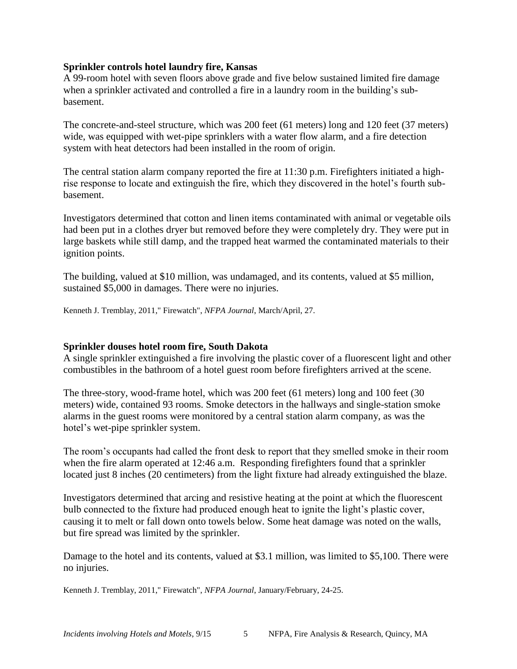## **Sprinkler controls hotel laundry fire, Kansas**

A 99-room hotel with seven floors above grade and five below sustained limited fire damage when a sprinkler activated and controlled a fire in a laundry room in the building's subbasement.

The concrete-and-steel structure, which was 200 feet (61 meters) long and 120 feet (37 meters) wide, was equipped with wet-pipe sprinklers with a water flow alarm, and a fire detection system with heat detectors had been installed in the room of origin.

The central station alarm company reported the fire at 11:30 p.m. Firefighters initiated a highrise response to locate and extinguish the fire, which they discovered in the hotel's fourth subbasement.

Investigators determined that cotton and linen items contaminated with animal or vegetable oils had been put in a clothes dryer but removed before they were completely dry. They were put in large baskets while still damp, and the trapped heat warmed the contaminated materials to their ignition points.

The building, valued at \$10 million, was undamaged, and its contents, valued at \$5 million, sustained \$5,000 in damages. There were no injuries.

Kenneth J. Tremblay, 2011," Firewatch", *NFPA Journal*, March/April, 27.

# **Sprinkler douses hotel room fire, South Dakota**

A single sprinkler extinguished a fire involving the plastic cover of a fluorescent light and other combustibles in the bathroom of a hotel guest room before firefighters arrived at the scene.

The three-story, wood-frame hotel, which was 200 feet (61 meters) long and 100 feet (30 meters) wide, contained 93 rooms. Smoke detectors in the hallways and single-station smoke alarms in the guest rooms were monitored by a central station alarm company, as was the hotel's wet-pipe sprinkler system.

The room's occupants had called the front desk to report that they smelled smoke in their room when the fire alarm operated at 12:46 a.m. Responding firefighters found that a sprinkler located just 8 inches (20 centimeters) from the light fixture had already extinguished the blaze.

Investigators determined that arcing and resistive heating at the point at which the fluorescent bulb connected to the fixture had produced enough heat to ignite the light's plastic cover, causing it to melt or fall down onto towels below. Some heat damage was noted on the walls, but fire spread was limited by the sprinkler.

Damage to the hotel and its contents, valued at \$3.1 million, was limited to \$5,100. There were no injuries.

Kenneth J. Tremblay, 2011," Firewatch", *NFPA Journal*, January/February, 24-25.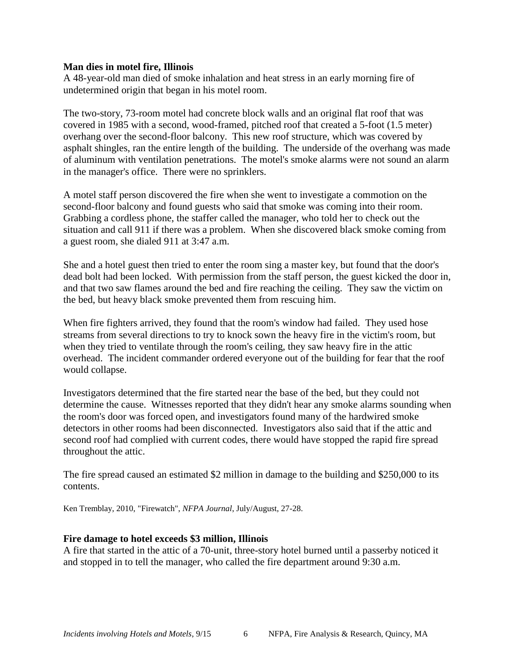#### **Man dies in motel fire, Illinois**

A 48-year-old man died of smoke inhalation and heat stress in an early morning fire of undetermined origin that began in his motel room.

The two-story, 73-room motel had concrete block walls and an original flat roof that was covered in 1985 with a second, wood-framed, pitched roof that created a 5-foot (1.5 meter) overhang over the second-floor balcony. This new roof structure, which was covered by asphalt shingles, ran the entire length of the building. The underside of the overhang was made of aluminum with ventilation penetrations. The motel's smoke alarms were not sound an alarm in the manager's office. There were no sprinklers.

A motel staff person discovered the fire when she went to investigate a commotion on the second-floor balcony and found guests who said that smoke was coming into their room. Grabbing a cordless phone, the staffer called the manager, who told her to check out the situation and call 911 if there was a problem. When she discovered black smoke coming from a guest room, she dialed 911 at 3:47 a.m.

She and a hotel guest then tried to enter the room sing a master key, but found that the door's dead bolt had been locked. With permission from the staff person, the guest kicked the door in, and that two saw flames around the bed and fire reaching the ceiling. They saw the victim on the bed, but heavy black smoke prevented them from rescuing him.

When fire fighters arrived, they found that the room's window had failed. They used hose streams from several directions to try to knock sown the heavy fire in the victim's room, but when they tried to ventilate through the room's ceiling, they saw heavy fire in the attic overhead. The incident commander ordered everyone out of the building for fear that the roof would collapse.

Investigators determined that the fire started near the base of the bed, but they could not determine the cause. Witnesses reported that they didn't hear any smoke alarms sounding when the room's door was forced open, and investigators found many of the hardwired smoke detectors in other rooms had been disconnected. Investigators also said that if the attic and second roof had complied with current codes, there would have stopped the rapid fire spread throughout the attic.

The fire spread caused an estimated \$2 million in damage to the building and \$250,000 to its contents.

Ken Tremblay, 2010, "Firewatch", *NFPA Journal*, July/August, 27-28.

## **Fire damage to hotel exceeds \$3 million, Illinois**

A fire that started in the attic of a 70-unit, three-story hotel burned until a passerby noticed it and stopped in to tell the manager, who called the fire department around 9:30 a.m.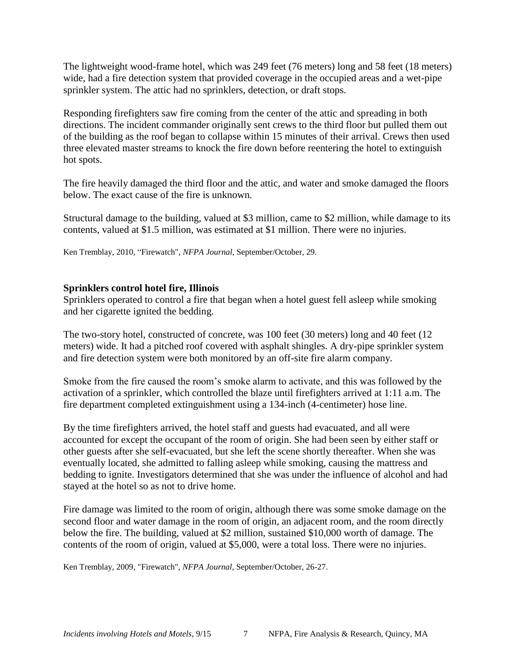The lightweight wood-frame hotel, which was 249 feet (76 meters) long and 58 feet (18 meters) wide, had a fire detection system that provided coverage in the occupied areas and a wet-pipe sprinkler system. The attic had no sprinklers, detection, or draft stops.

Responding firefighters saw fire coming from the center of the attic and spreading in both directions. The incident commander originally sent crews to the third floor but pulled them out of the building as the roof began to collapse within 15 minutes of their arrival. Crews then used three elevated master streams to knock the fire down before reentering the hotel to extinguish hot spots.

The fire heavily damaged the third floor and the attic, and water and smoke damaged the floors below. The exact cause of the fire is unknown.

Structural damage to the building, valued at \$3 million, came to \$2 million, while damage to its contents, valued at \$1.5 million, was estimated at \$1 million. There were no injuries.

Ken Tremblay, 2010, "Firewatch", *NFPA Journal*, September/October, 29.

## **Sprinklers control hotel fire, Illinois**

Sprinklers operated to control a fire that began when a hotel guest fell asleep while smoking and her cigarette ignited the bedding.

The two-story hotel, constructed of concrete, was 100 feet (30 meters) long and 40 feet (12 meters) wide. It had a pitched roof covered with asphalt shingles. A dry-pipe sprinkler system and fire detection system were both monitored by an off-site fire alarm company.

Smoke from the fire caused the room's smoke alarm to activate, and this was followed by the activation of a sprinkler, which controlled the blaze until firefighters arrived at 1:11 a.m. The fire department completed extinguishment using a 134-inch (4-centimeter) hose line.

By the time firefighters arrived, the hotel staff and guests had evacuated, and all were accounted for except the occupant of the room of origin. She had been seen by either staff or other guests after she self-evacuated, but she left the scene shortly thereafter. When she was eventually located, she admitted to falling asleep while smoking, causing the mattress and bedding to ignite. Investigators determined that she was under the influence of alcohol and had stayed at the hotel so as not to drive home.

Fire damage was limited to the room of origin, although there was some smoke damage on the second floor and water damage in the room of origin, an adjacent room, and the room directly below the fire. The building, valued at \$2 million, sustained \$10,000 worth of damage. The contents of the room of origin, valued at \$5,000, were a total loss. There were no injuries.

Ken Tremblay, 2009, "Firewatch", *NFPA Journal*, September/October, 26-27.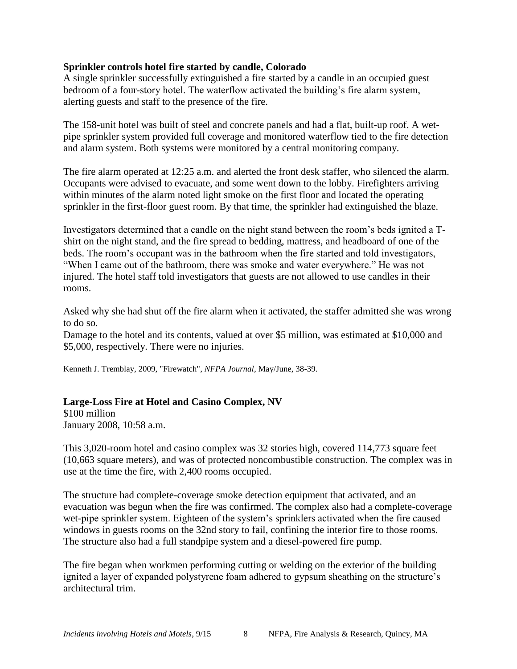## **Sprinkler controls hotel fire started by candle, Colorado**

A single sprinkler successfully extinguished a fire started by a candle in an occupied guest bedroom of a four-story hotel. The waterflow activated the building's fire alarm system, alerting guests and staff to the presence of the fire.

The 158-unit hotel was built of steel and concrete panels and had a flat, built-up roof. A wetpipe sprinkler system provided full coverage and monitored waterflow tied to the fire detection and alarm system. Both systems were monitored by a central monitoring company.

The fire alarm operated at 12:25 a.m. and alerted the front desk staffer, who silenced the alarm. Occupants were advised to evacuate, and some went down to the lobby. Firefighters arriving within minutes of the alarm noted light smoke on the first floor and located the operating sprinkler in the first-floor guest room. By that time, the sprinkler had extinguished the blaze.

Investigators determined that a candle on the night stand between the room's beds ignited a Tshirt on the night stand, and the fire spread to bedding, mattress, and headboard of one of the beds. The room's occupant was in the bathroom when the fire started and told investigators, "When I came out of the bathroom, there was smoke and water everywhere." He was not injured. The hotel staff told investigators that guests are not allowed to use candles in their rooms.

Asked why she had shut off the fire alarm when it activated, the staffer admitted she was wrong to do so.

Damage to the hotel and its contents, valued at over \$5 million, was estimated at \$10,000 and \$5,000, respectively. There were no injuries.

Kenneth J. Tremblay, 2009, "Firewatch", *NFPA Journal*, May/June, 38-39.

# **Large-Loss Fire at Hotel and Casino Complex, NV**

\$100 million January 2008, 10:58 a.m.

This 3,020-room hotel and casino complex was 32 stories high, covered 114,773 square feet (10,663 square meters), and was of protected noncombustible construction. The complex was in use at the time the fire, with 2,400 rooms occupied.

The structure had complete-coverage smoke detection equipment that activated, and an evacuation was begun when the fire was confirmed. The complex also had a complete-coverage wet-pipe sprinkler system. Eighteen of the system's sprinklers activated when the fire caused windows in guests rooms on the 32nd story to fail, confining the interior fire to those rooms. The structure also had a full standpipe system and a diesel-powered fire pump.

The fire began when workmen performing cutting or welding on the exterior of the building ignited a layer of expanded polystyrene foam adhered to gypsum sheathing on the structure's architectural trim.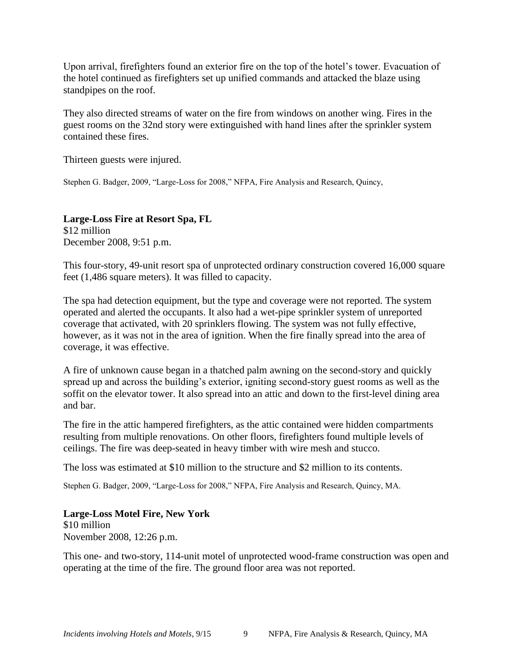Upon arrival, firefighters found an exterior fire on the top of the hotel's tower. Evacuation of the hotel continued as firefighters set up unified commands and attacked the blaze using standpipes on the roof.

They also directed streams of water on the fire from windows on another wing. Fires in the guest rooms on the 32nd story were extinguished with hand lines after the sprinkler system contained these fires.

Thirteen guests were injured.

Stephen G. Badger, 2009, "Large-Loss for 2008," NFPA, Fire Analysis and Research, Quincy,

**Large-Loss Fire at Resort Spa, FL** \$12 million December 2008, 9:51 p.m.

This four-story, 49-unit resort spa of unprotected ordinary construction covered 16,000 square feet (1,486 square meters). It was filled to capacity.

The spa had detection equipment, but the type and coverage were not reported. The system operated and alerted the occupants. It also had a wet-pipe sprinkler system of unreported coverage that activated, with 20 sprinklers flowing. The system was not fully effective, however, as it was not in the area of ignition. When the fire finally spread into the area of coverage, it was effective.

A fire of unknown cause began in a thatched palm awning on the second-story and quickly spread up and across the building's exterior, igniting second-story guest rooms as well as the soffit on the elevator tower. It also spread into an attic and down to the first-level dining area and bar.

The fire in the attic hampered firefighters, as the attic contained were hidden compartments resulting from multiple renovations. On other floors, firefighters found multiple levels of ceilings. The fire was deep-seated in heavy timber with wire mesh and stucco.

The loss was estimated at \$10 million to the structure and \$2 million to its contents.

Stephen G. Badger, 2009, "Large-Loss for 2008," NFPA, Fire Analysis and Research, Quincy, MA.

**Large-Loss Motel Fire, New York** \$10 million November 2008, 12:26 p.m.

This one- and two-story, 114-unit motel of unprotected wood-frame construction was open and operating at the time of the fire. The ground floor area was not reported.